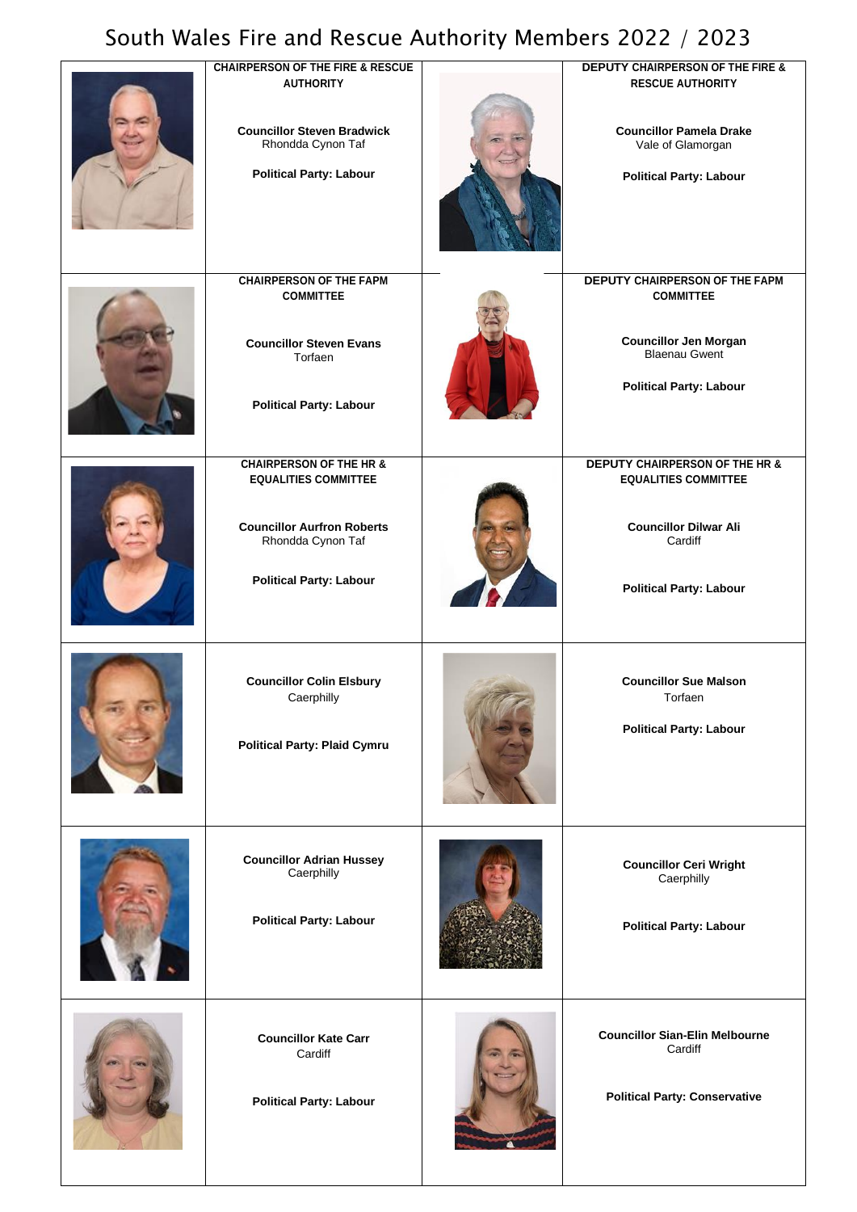## South Wales Fire and Rescue Authority Members 2022 / 2023

| <b>CHAIRPERSON OF THE FIRE &amp; RESCUE</b><br><b>AUTHORITY</b>                                                         | <b>DEPUTY CHAIRPERSON OF THE FIRE &amp;</b><br><b>RESCUE AUTHORITY</b>                                   |
|-------------------------------------------------------------------------------------------------------------------------|----------------------------------------------------------------------------------------------------------|
| <b>Councillor Steven Bradwick</b><br>Rhondda Cynon Taf<br><b>Political Party: Labour</b>                                | <b>Councillor Pamela Drake</b><br>Vale of Glamorgan<br><b>Political Party: Labour</b>                    |
| <b>CHAIRPERSON OF THE FAPM</b><br><b>COMMITTEE</b>                                                                      | DEPUTY CHAIRPERSON OF THE FAPM<br><b>COMMITTEE</b>                                                       |
| <b>Councillor Steven Evans</b><br>Torfaen<br><b>Political Party: Labour</b>                                             | <b>Councillor Jen Morgan</b><br><b>Blaenau Gwent</b><br><b>Political Party: Labour</b>                   |
| <b>CHAIRPERSON OF THE HR &amp;</b>                                                                                      | <b>DEPUTY CHAIRPERSON OF THE HR &amp;</b>                                                                |
| <b>EQUALITIES COMMITTEE</b><br><b>Councillor Aurfron Roberts</b><br>Rhondda Cynon Taf<br><b>Political Party: Labour</b> | <b>EQUALITIES COMMITTEE</b><br><b>Councillor Dilwar Ali</b><br>Cardiff<br><b>Political Party: Labour</b> |
|                                                                                                                         |                                                                                                          |
| <b>Councillor Colin Elsbury</b><br>Caerphilly<br><b>Political Party: Plaid Cymru</b>                                    | <b>Councillor Sue Malson</b><br>Torfaen<br><b>Political Party: Labour</b>                                |
| <b>Councillor Adrian Hussey</b><br>Caerphilly<br><b>Political Party: Labour</b>                                         | <b>Councillor Ceri Wright</b><br>Caerphilly<br><b>Political Party: Labour</b>                            |
| <b>Councillor Kate Carr</b><br>Cardiff<br><b>Political Party: Labour</b>                                                | <b>Councillor Sian-Elin Melbourne</b><br>Cardiff<br><b>Political Party: Conservative</b>                 |